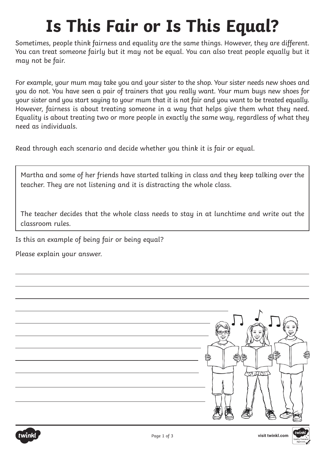## **Is This Fair or Is This Equal?**

Sometimes, people think fairness and equality are the same things. However, they are different. You can treat someone fairly but it may not be equal. You can also treat people equally but it may not be fair.

For example, your mum may take you and your sister to the shop. Your sister needs new shoes and you do not. You have seen a pair of trainers that you really want. Your mum buys new shoes for your sister and you start saying to your mum that it is not fair and you want to be treated equally. However, fairness is about treating someone in a way that helps give them what they need. Equality is about treating two or more people in exactly the same way, regardless of what they need as individuals.

Read through each scenario and decide whether you think it is fair or equal.

Martha and some of her friends have started talking in class and they keep talking over the teacher. They are not listening and it is distracting the whole class.

The teacher decides that the whole class needs to stay in at lunchtime and write out the classroom rules.

Is this an example of being fair or being equal?

Please explain your answer.



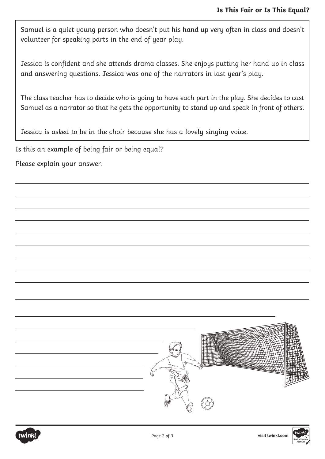Samuel is a quiet young person who doesn't put his hand up very often in class and doesn't volunteer for speaking parts in the end of year play.

Jessica is confident and she attends drama classes. She enjoys putting her hand up in class and answering questions. Jessica was one of the narrators in last year's play.

The class teacher has to decide who is going to have each part in the play. She decides to cast Samuel as a narrator so that he gets the opportunity to stand up and speak in front of others.

Jessica is asked to be in the choir because she has a lovely singing voice.

Is this an example of being fair or being equal?

Please explain your answer.